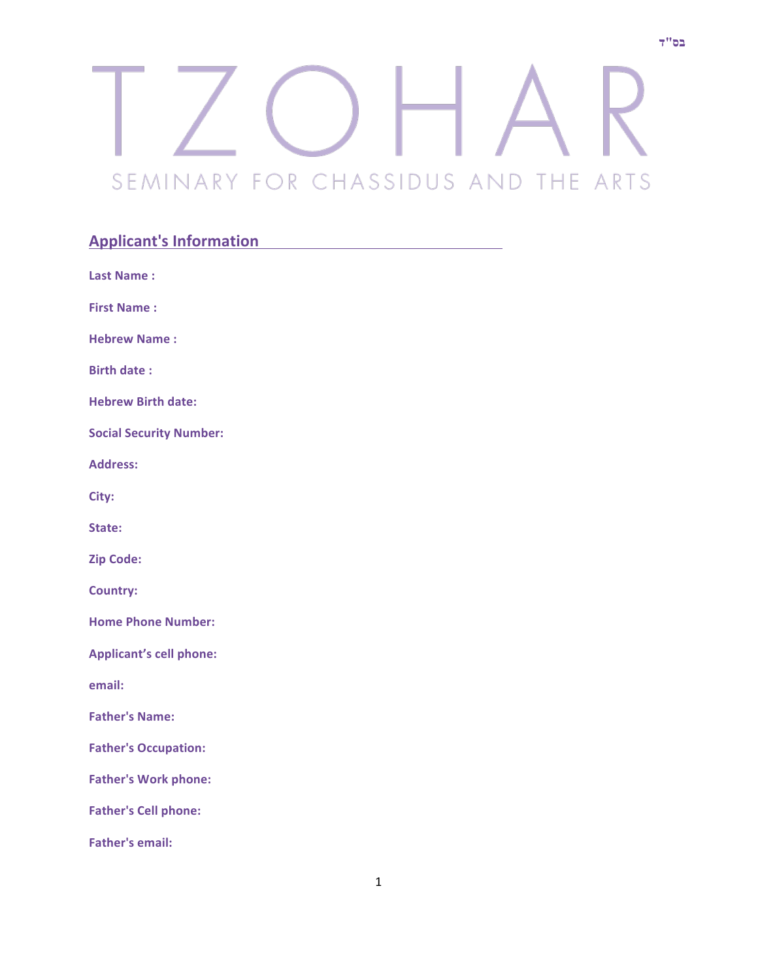## SEMINARY FOR CHASSIDUS AND THE ARTS

## **Applicant's Information**

| <b>Last Name:</b>              |
|--------------------------------|
| <b>First Name:</b>             |
| <b>Hebrew Name:</b>            |
| <b>Birth date:</b>             |
| <b>Hebrew Birth date:</b>      |
| <b>Social Security Number:</b> |
| <b>Address:</b>                |
| City:                          |
| State:                         |
| <b>Zip Code:</b>               |
| <b>Country:</b>                |
| <b>Home Phone Number:</b>      |
| <b>Applicant's cell phone:</b> |
| email:                         |
| <b>Father's Name:</b>          |
| <b>Father's Occupation:</b>    |
| <b>Father's Work phone:</b>    |
| <b>Father's Cell phone:</b>    |
| <b>Father's email:</b>         |

1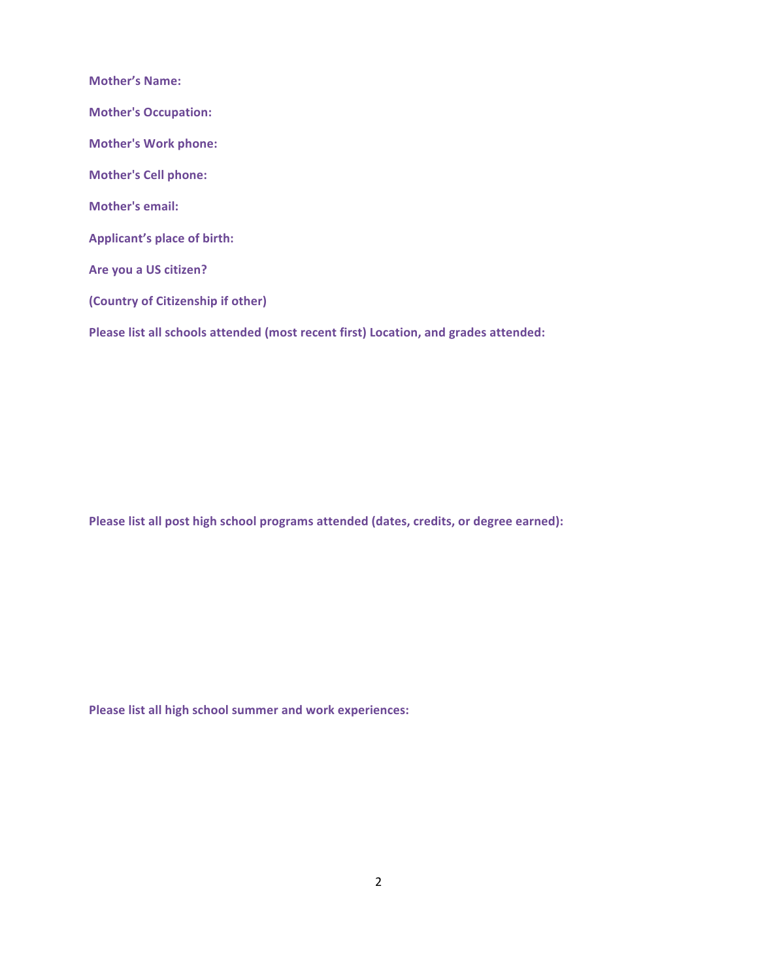**Mother's Name: Mother's Occupation: Mother's Work phone: Mother's Cell phone: Mother's email:** Applicant's place of birth: Are you a US citizen? **(Country of Citizenship if other)** Please list all schools attended (most recent first) Location, and grades attended:

Please list all post high school programs attended (dates, credits, or degree earned):

Please list all high school summer and work experiences: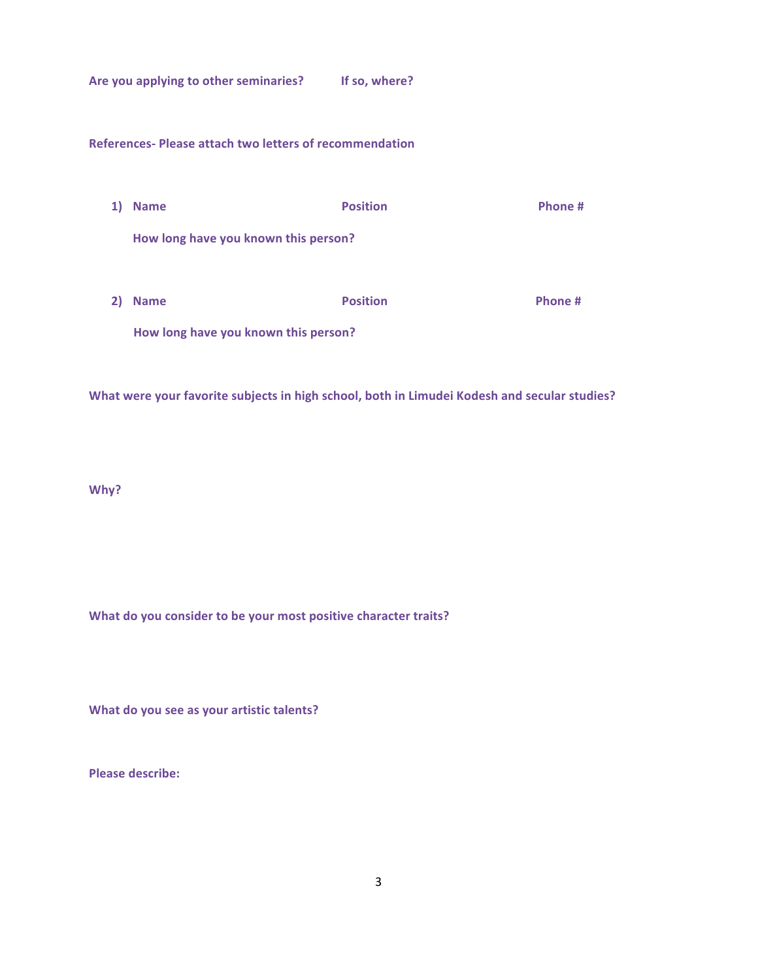Are you applying to other seminaries? If so, where?

**References- Please attach two letters of recommendation**

- **1)** Name **Canally 1 Canally 1 Position Canally 1 Phone** # How long have you known this person?
- **2)** Name **Canally 10** Position **Canally 10** Position **Phone #** How long have you known this person?

What were your favorite subjects in high school, both in Limudei Kodesh and secular studies?

**Why?**

What do you consider to be your most positive character traits?

**What do you see as your artistic talents?** 

**Please describe:**